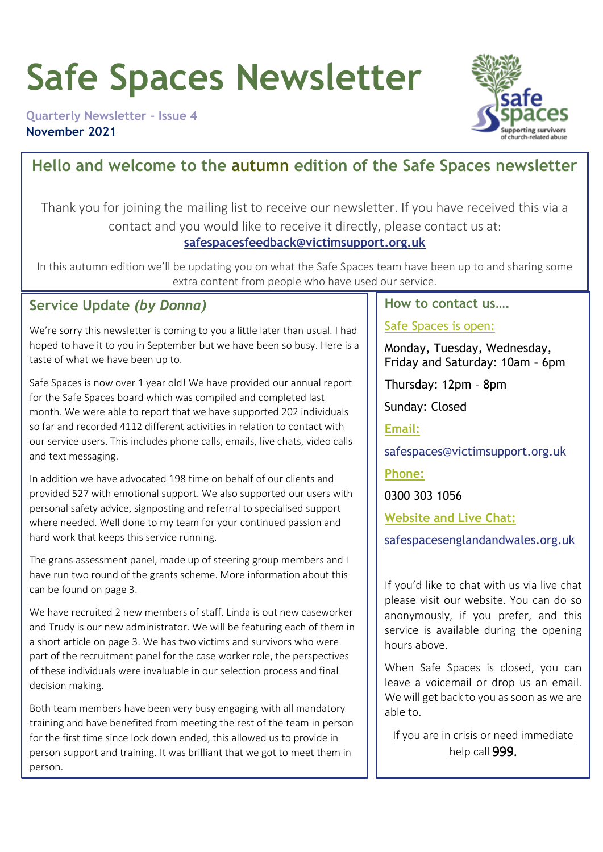# **Safe Spaces Newsletter**

**Quarterly Newsletter – Issue 4 November 2021**



### **Hello and welcome to the autumn edition of the Safe Spaces newsletter**

Thank you for joining the mailing list to receive our newsletter. If you have received this via a contact and you would like to receive it directly, please contact us at:

#### **[safespacesfeedback@victimsupport.org.uk](mailto:safespacesfeedback@victimsupport.org.uk)**

In this autumn edition we'll be updating you on what the Safe Spaces team have been up to and sharing some extra content from people who have used our service.

### **Service Update** *(by Donna)*

We're sorry this newsletter is coming to you a little later than usual. I had hoped to have it to you in September but we have been so busy. Here is a taste of what we have been up to.

Safe Spaces is now over 1 year old! We have provided our annual report for the Safe Spaces board which was compiled and completed last month. We were able to report that we have supported 202 individuals so far and recorded 4112 different activities in relation to contact with our service users. This includes phone calls, emails, live chats, video calls and text messaging.

In addition we have advocated 198 time on behalf of our clients and provided 527 with emotional support. We also supported our users with personal safety advice, signposting and referral to specialised support where needed. Well done to my team for your continued passion and hard work that keeps this service running.

The grans assessment panel, made up of steering group members and I have run two round of the grants scheme. More information about this can be found on page 3.

We have recruited 2 new members of staff. Linda is out new caseworker and Trudy is our new administrator. We will be featuring each of them in a short article on page 3. We has two victims and survivors who were part of the recruitment panel for the case worker role, the perspectives of these individuals were invaluable in our selection process and final decision making.

Both team members have been very busy engaging with all mandatory training and have benefited from meeting the rest of the team in person for the first time since lock down ended, this allowed us to provide in person support and training. It was brilliant that we got to meet them in person.

#### **How to contact us….**

#### Safe Spaces is open:

Monday, Tuesday, Wednesday, Friday and Saturday: 10am – 6pm

Thursday: 12pm – 8pm

Sunday: Closed

**Email:**

safespaces@victimsupport.org.uk

**Phone:**

0300 303 1056

**Website and Live Chat:**

[safespacesenglandandwales.org.uk](http://www.safespacesenglandandwales.org.uk/)

If you'd like to chat with us via live chat please visit our website. You can do so anonymously, if you prefer, and this service is available during the opening hours above.

When Safe Spaces is closed, you can leave a voicemail or drop us an email. We will get back to you as soon as we are able to.

If you are in crisis or need immediate help call 999.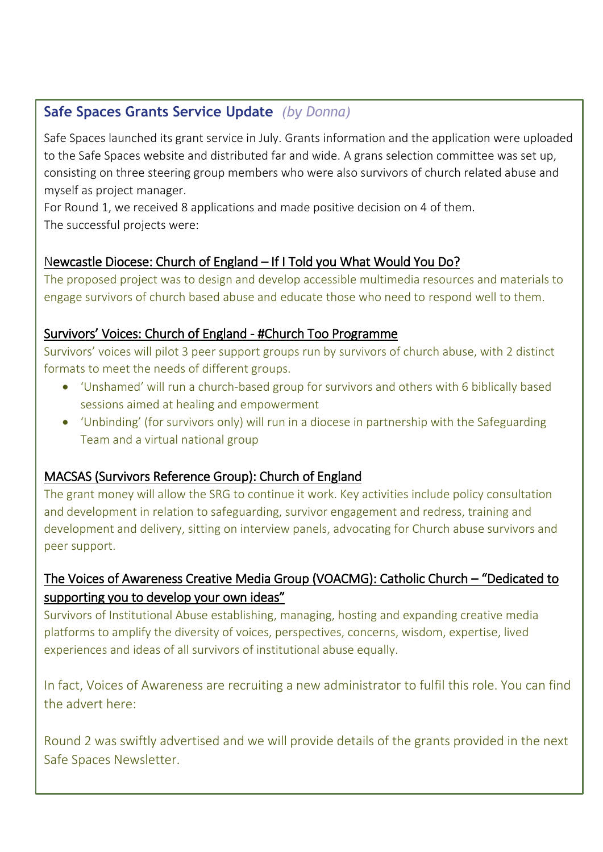### **Safe Spaces Grants Service Update** *(by Donna)*

Safe Spaces launched its grant service in July. Grants information and the application were uploaded to the Safe Spaces website and distributed far and wide. A grans selection committee was set up, consisting on three steering group members who were also survivors of church related abuse and myself as project manager.

For Round 1, we received 8 applications and made positive decision on 4 of them. The successful projects were:

### Newcastle Diocese: Church of England – If I Told you What Would You Do?

The proposed project was to design and develop accessible multimedia resources and materials to engage survivors of church based abuse and educate those who need to respond well to them.

### Survivors' Voices: Church of England - #Church Too Programme

Survivors' voices will pilot 3 peer support groups run by survivors of church abuse, with 2 distinct formats to meet the needs of different groups.

- 'Unshamed' will run a church-based group for survivors and others with 6 biblically based sessions aimed at healing and empowerment
- 'Unbinding' (for survivors only) will run in a diocese in partnership with the Safeguarding Team and a virtual national group

### MACSAS (Survivors Reference Group): Church of England

The grant money will allow the SRG to continue it work. Key activities include policy consultation and development in relation to safeguarding, survivor engagement and redress, training and development and delivery, sitting on interview panels, advocating for Church abuse survivors and peer support.

### The Voices of Awareness Creative Media Group (VOACMG): Catholic Church – "Dedicated to supporting you to develop your own ideas"

Survivors of Institutional Abuse establishing, managing, hosting and expanding creative media platforms to amplify the diversity of voices, perspectives, concerns, wisdom, expertise, lived experiences and ideas of all survivors of institutional abuse equally.

In fact, Voices of Awareness are recruiting a new administrator to fulfil this role. You can find the advert here:

Round 2 was swiftly advertised and we will provide details of the grants provided in the next Safe Spaces Newsletter.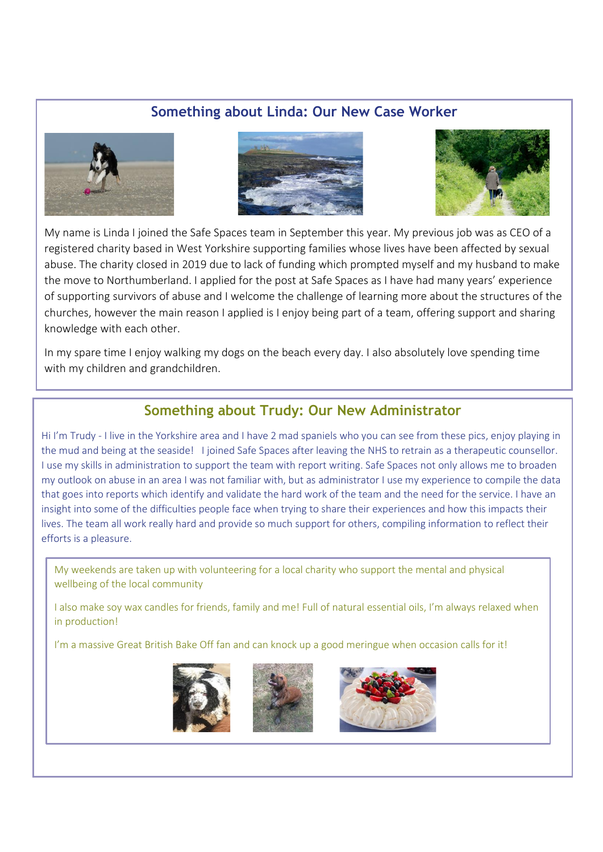### **Something about Linda: Our New Case Worker**







My name is Linda I joined the Safe Spaces team in September this year. My previous job was as CEO of a registered charity based in West Yorkshire supporting families whose lives have been affected by sexual abuse. The charity closed in 2019 due to lack of funding which prompted myself and my husband to make the move to Northumberland. I applied for the post at Safe Spaces as I have had many years' experience of supporting survivors of abuse and I welcome the challenge of learning more about the structures of the churches, however the main reason I applied is I enjoy being part of a team, offering support and sharing knowledge with each other.

In my spare time I enjoy walking my dogs on the beach every day. I also absolutely love spending time with my children and grandchildren.

### **Something about Trudy: Our New Administrator**

Hi I'm Trudy - I live in the Yorkshire area and I have 2 mad spaniels who you can see from these pics, enjoy playing in the mud and being at the seaside! I joined Safe Spaces after leaving the NHS to retrain as a therapeutic counsellor. I use my skills in administration to support the team with report writing. Safe Spaces not only allows me to broaden my outlook on abuse in an area I was not familiar with, but as administrator I use my experience to compile the data that goes into reports which identify and validate the hard work of the team and the need for the service. I have an insight into some of the difficulties people face when trying to share their experiences and how this impacts their lives. The team all work really hard and provide so much support for others, compiling information to reflect their efforts is a pleasure.

My weekends are taken up with volunteering for a local charity who support the mental and physical wellbeing of the local community

I also make soy wax candles for friends, family and me! Full of natural essential oils, I'm always relaxed when in production!

I'm a massive Great British Bake Off fan and can knock up a good meringue when occasion calls for it!





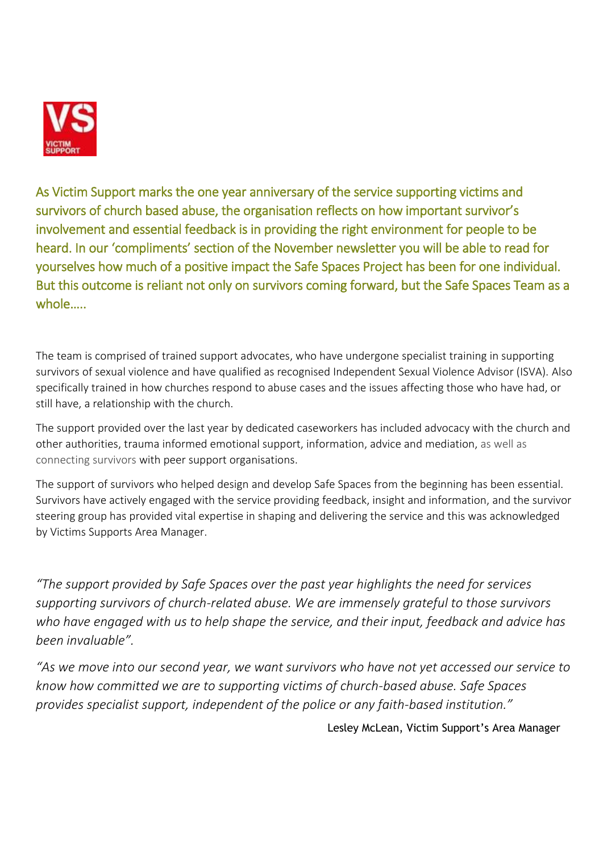

As Victim Support marks the one year anniversary of the service supporting victims and survivors of church based abuse, the organisation reflects on how important survivor's involvement and essential feedback is in providing the right environment for people to be heard. In our 'compliments' section of the November newsletter you will be able to read for yourselves how much of a positive impact the Safe Spaces Project has been for one individual. But this outcome is reliant not only on survivors coming forward, but the Safe Spaces Team as a whole…..

The team is comprised of trained support advocates, who have undergone specialist training in supporting survivors of sexual violence and have qualified as recognised Independent Sexual Violence Advisor (ISVA). Also specifically trained in how churches respond to abuse cases and the issues affecting those who have had, or still have, a relationship with the church.

The support provided over the last year by dedicated caseworkers has included advocacy with the church and other authorities, trauma informed emotional support, information, advice and mediation, as well as connecting survivors with peer support organisations.

The support of survivors who helped design and develop Safe Spaces from the beginning has been essential. Survivors have actively engaged with the service providing feedback, insight and information, and the survivor steering group has provided vital expertise in shaping and delivering the service and this was acknowledged by Victims Supports Area Manager.

*"The support provided by Safe Spaces over the past year highlights the need for services supporting survivors of church-related abuse. We are immensely grateful to those survivors who have engaged with us to help shape the service, and their input, feedback and advice has been invaluable".* 

*"As we move into our second year, we want survivors who have not yet accessed our service to know how committed we are to supporting victims of church-based abuse. Safe Spaces provides specialist support, independent of the police or any faith-based institution."*

Lesley McLean, Victim Support's Area Manager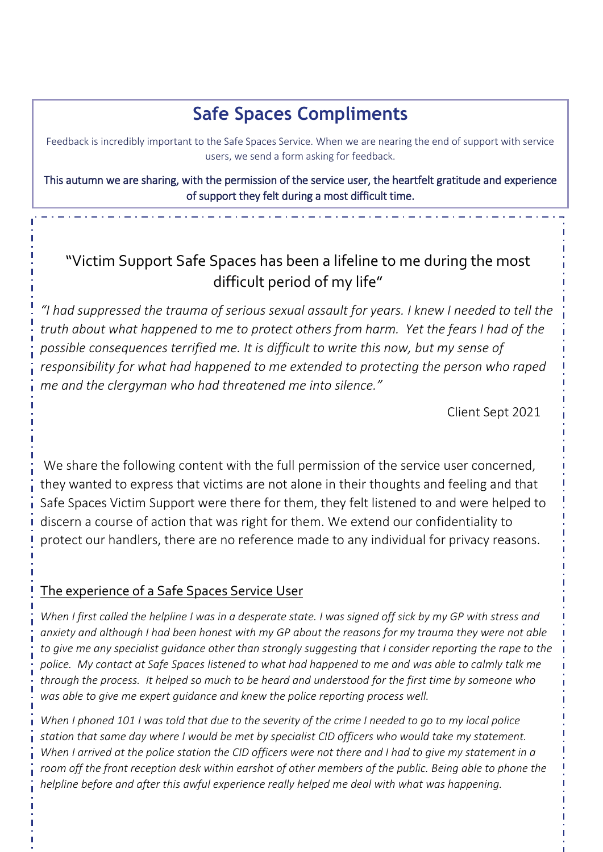### **Safe Spaces Compliments**

Feedback is incredibly important to the Safe Spaces Service. When we are nearing the end of support with service users, we send a form asking for feedback.

This autumn we are sharing, with the permission of the service user, the heartfelt gratitude and experience of support they felt during a most difficult time.

### "Victim Support Safe Spaces has been a lifeline to me during the most difficult period of my life"

*"I had suppressed the trauma of serious sexual assault for years. I knew I needed to tell the truth about what happened to me to protect others from harm. Yet the fears I had of the possible consequences terrified me. It is difficult to write this now, but my sense of responsibility for what had happened to me extended to protecting the person who raped me and the clergyman who had threatened me into silence."* 

Client Sept 2021

We share the following content with the full permission of the service user concerned, they wanted to express that victims are not alone in their thoughts and feeling and that Safe Spaces Victim Support were there for them, they felt listened to and were helped to discern a course of action that was right for them. We extend our confidentiality to protect our handlers, there are no reference made to any individual for privacy reasons.

### The experience of a Safe Spaces Service User

*When I first called the helpline I was in a desperate state. I was signed off sick by my GP with stress and anxiety and although I had been honest with my GP about the reasons for my trauma they were not able to give me any specialist guidance other than strongly suggesting that I consider reporting the rape to the police. My contact at Safe Spaces listened to what had happened to me and was able to calmly talk me through the process. It helped so much to be heard and understood for the first time by someone who was able to give me expert guidance and knew the police reporting process well.*

*When I phoned 101 I was told that due to the severity of the crime I needed to go to my local police station that same day where I would be met by specialist CID officers who would take my statement. When I arrived at the police station the CID officers were not there and I had to give my statement in a*  room off the front reception desk within earshot of other members of the public. Being able to phone the *helpline before and after this awful experience really helped me deal with what was happening.*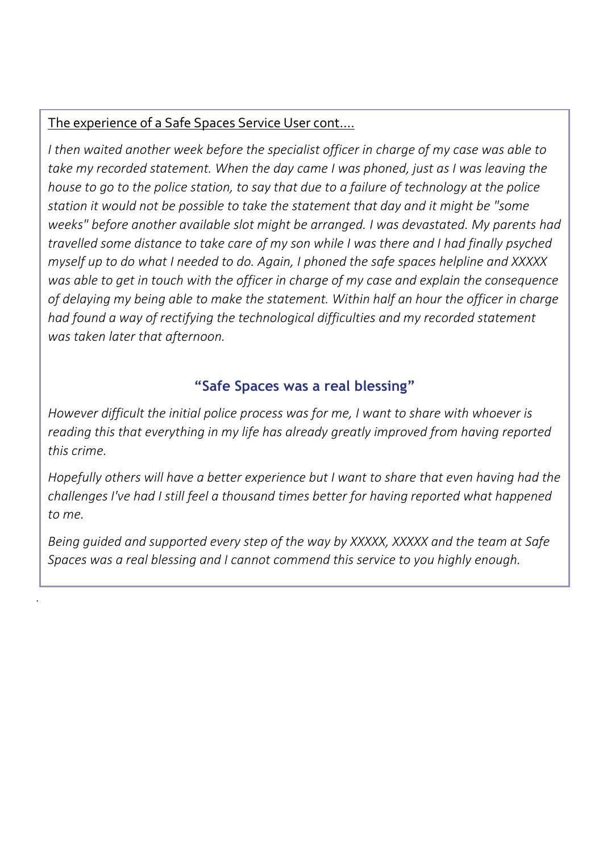### The experience of a Safe Spaces Service User cont….

.

*I then waited another week before the specialist officer in charge of my case was able to take my recorded statement. When the day came I was phoned, just as I was leaving the house to go to the police station, to say that due to a failure of technology at the police station it would not be possible to take the statement that day and it might be "some weeks" before another available slot might be arranged. I was devastated. My parents had travelled some distance to take care of my son while I was there and I had finally psyched myself up to do what I needed to do. Again, I phoned the safe spaces helpline and XXXXX was able to get in touch with the officer in charge of my case and explain the consequence of delaying my being able to make the statement. Within half an hour the officer in charge had found a way of rectifying the technological difficulties and my recorded statement was taken later that afternoon.*

### **"Safe Spaces was a real blessing"**

*However difficult the initial police process was for me, I want to share with whoever is reading this that everything in my life has already greatly improved from having reported this crime.* 

*Hopefully others will have a better experience but I want to share that even having had the challenges I've had I still feel a thousand times better for having reported what happened to me.* 

*Being guided and supported every step of the way by XXXXX, XXXXX and the team at Safe Spaces was a real blessing and I cannot commend this service to you highly enough.*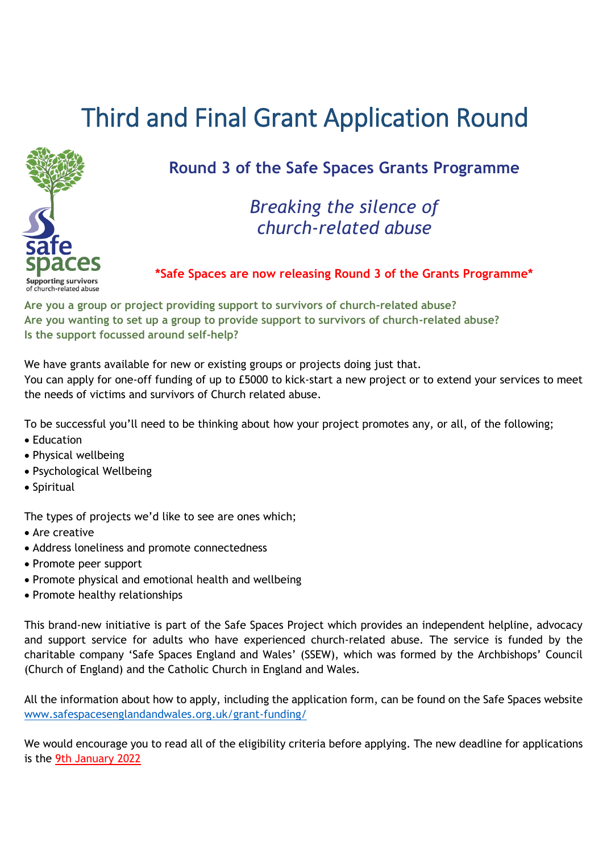# Third and Final Grant Application Round



### **Round 3 of the Safe Spaces Grants Programme**

### *Breaking the silence of church-related abuse*

#### **\*Safe Spaces are now releasing Round 3 of the Grants Programme\***

**Are you a group or project providing support to survivors of church-related abuse? Are you wanting to set up a group to provide support to survivors of church-related abuse? Is the support focussed around self-help?** 

We have grants available for new or existing groups or projects doing just that.

You can apply for one-off funding of up to £5000 to kick-start a new project or to extend your services to meet the needs of victims and survivors of Church related abuse.

To be successful you'll need to be thinking about how your project promotes any, or all, of the following;

- Education
- Physical wellbeing
- Psychological Wellbeing
- Spiritual

The types of projects we'd like to see are ones which;

- Are creative
- Address loneliness and promote connectedness
- Promote peer support
- Promote physical and emotional health and wellbeing
- Promote healthy relationships

This brand-new initiative is part of the Safe Spaces Project which provides an independent helpline, advocacy and support service for adults who have experienced church-related abuse. The service is funded by the charitable company 'Safe Spaces England and Wales' (SSEW), which was formed by the Archbishops' Council (Church of England) and the Catholic Church in England and Wales.

All the information about how to apply, including the application form, can be found on the Safe Spaces website [www.safespacesenglandandwales.org.uk/grant-funding/](http://www.safespacesenglandandwales.org.uk/grant-funding/)

We would encourage you to read all of the eligibility criteria before applying. The new deadline for applications is the 9th January 2022